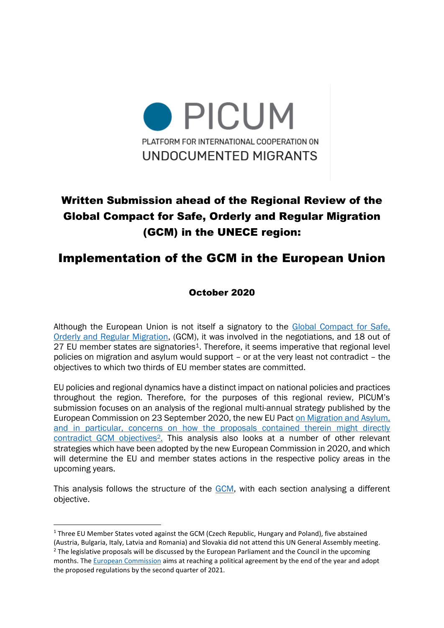

# Written Submission ahead of the Regional Review of the Global Compact for Safe, Orderly and Regular Migration (GCM) in the UNECE region:

## Implementation of the GCM in the European Union

### October 2020

Although the European Union is not itself a signatory to the [Global Compact for Safe,](https://www.un.org/en/ga/search/view_doc.asp?symbol=A/RES/73/195)  [Orderly and Regular Migration,](https://www.un.org/en/ga/search/view_doc.asp?symbol=A/RES/73/195) (GCM), it was involved in the negotiations, and 18 out of 27 EU member states are signatories<sup>1</sup>. Therefore, it seems imperative that regional level policies on migration and asylum would support – or at the very least not contradict – the objectives to which two thirds of EU member states are committed.

EU policies and regional dynamics have a distinct impact on national policies and practices throughout the region. Therefore, for the purposes of this regional review, PICUM's submission focuses on an analysis of the regional multi-annual strategy published by the European Commission on 23 September 2020, the new [EU Pact on Migration and Asylum,](https://ec.europa.eu/info/publications/migration-and-asylum-package-new-pact-migration-and-asylum-documents-adopted-23-september-2020_en) and in particular, concerns on how the proposals contained therein might directly contradict GCM objectives<sup>2</sup>. This analysis also looks at a number of other relevant strategies which have been adopted by the new European Commission in 2020, and which will determine the EU and member states actions in the respective policy areas in the upcoming years.

This analysis follows the structure of the [GCM](https://www.un.org/en/ga/search/view_doc.asp?symbol=A/RES/73/195), with each section analysing a different objective.

 $1$  Three EU Member States voted against the GCM (Czech Republic, Hungary and Poland), five abstained (Austria, Bulgaria, Italy, Latvia and Romania) and Slovakia did not attend this UN General Assembly meeting.

<sup>&</sup>lt;sup>2</sup> The legislative proposals will be discussed by the European Parliament and the Council in the upcoming months. The [European Commission](https://eur-lex.europa.eu/legal-content/EN/TXT/?qid=1601287338054&uri=COM%3A2020%3A609%3AFIN#document2) aims at reaching a political agreement by the end of the year and adopt the proposed regulations by the second quarter of 2021.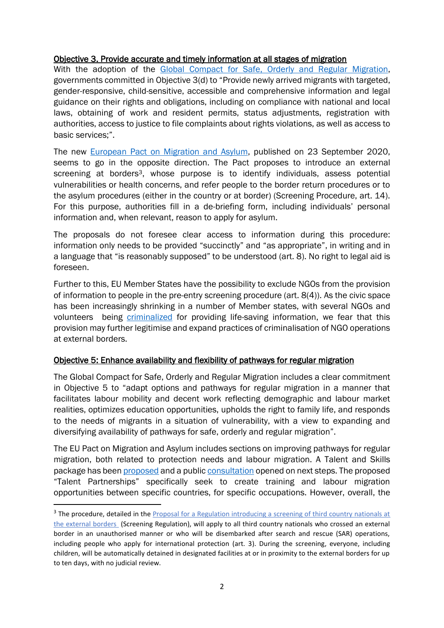#### Objective 3. Provide accurate and timely information at all stages of migration

With the adoption of the [Global Compact for Safe, Orderly and Regular Migration,](https://www.un.org/en/ga/search/view_doc.asp?symbol=A/RES/73/195) governments committed in Objective 3(d) to "Provide newly arrived migrants with targeted, gender-responsive, child-sensitive, accessible and comprehensive information and legal guidance on their rights and obligations, including on compliance with national and local laws, obtaining of work and resident permits, status adjustments, registration with authorities, access to justice to file complaints about rights violations, as well as access to basic services;".

The new [European Pact on Migration and Asylum,](https://ec.europa.eu/info/publications/migration-and-asylum-package-new-pact-migration-and-asylum-documents-adopted-23-september-2020_en) published on 23 September 2020, seems to go in the opposite direction. The Pact proposes to introduce an external screening at borders<sup>3</sup>, whose purpose is to identify individuals, assess potential vulnerabilities or health concerns, and refer people to the border return procedures or to the asylum procedures (either in the country or at border) (Screening Procedure, art. 14). For this purpose, authorities fill in a de-briefing form, including individuals' personal information and, when relevant, reason to apply for asylum.

The proposals do not foresee clear access to information during this procedure: information only needs to be provided "succinctly" and "as appropriate", in writing and in a language that "is reasonably supposed" to be understood (art. 8). No right to legal aid is foreseen.

Further to this, EU Member States have the possibility to exclude NGOs from the provision of information to people in the pre-entry screening procedure (art. 8(4)). As the civic space has been increasingly shrinking in a number of Member states, with several NGOs and volunteers being [criminalized](https://www.keeptalkinggreece.com/2020/09/28/greece-ngo-members-human-traffickers-lesvos-turkey/) for providing life-saving information, we fear that this provision may further legitimise and expand practices of criminalisation of NGO operations at external borders.

#### Objective 5: Enhance availability and flexibility of pathways for regular migration

The Global Compact for Safe, Orderly and Regular Migration includes a clear commitment in Objective 5 to "adapt options and pathways for regular migration in a manner that facilitates labour mobility and decent work reflecting demographic and labour market realities, optimizes education opportunities, upholds the right to family life, and responds to the needs of migrants in a situation of vulnerability, with a view to expanding and diversifying availability of pathways for safe, orderly and regular migration".

The EU Pact on Migration and Asylum includes sections on improving pathways for regular migration, both related to protection needs and labour migration. A Talent and Skills package has bee[n proposed](https://eur-lex.europa.eu/legal-content/EN/TXT/?qid=1601287338054&uri=COM%3A2020%3A609%3AFIN) and a public [consultation](https://ec.europa.eu/info/law/better-regulation/have-your-say/initiatives/12594-Public-consultation-on-legal-migration/public-consultation) opened on next steps. The proposed "Talent Partnerships" specifically seek to create training and labour migration opportunities between specific countries, for specific occupations. However, overall, the

<sup>&</sup>lt;sup>3</sup> The procedure, detailed in the **Proposal for a Regulation introducing a screening of third country nationals at** [the external borders](https://ec.europa.eu/info/sites/info/files/communication-screening-third-country-nationals_en.pdf) (Screening Regulation), will apply to all third country nationals who crossed an external border in an unauthorised manner or who will be disembarked after search and rescue (SAR) operations, including people who apply for international protection (art. 3). During the screening, everyone, including children, will be automatically detained in designated facilities at or in proximity to the external borders for up to ten days, with no judicial review.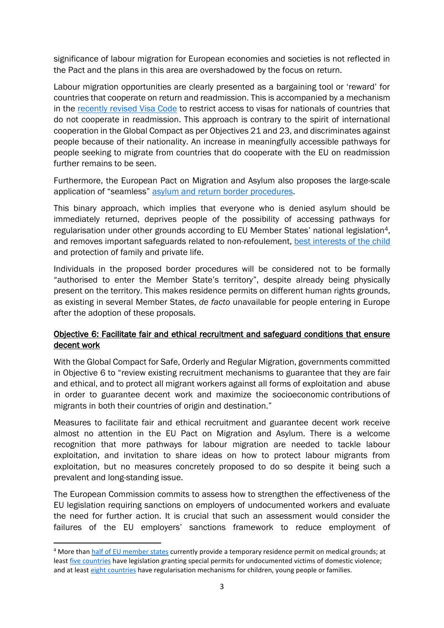significance of labour migration for European economies and societies is not reflected in the Pact and the plans in this area are overshadowed by the focus on return.

Labour migration opportunities are clearly presented as a bargaining tool or 'reward' for countries that cooperate on return and readmission. This is accompanied by a mechanism in the [recently revised Visa Code](https://eur-lex.europa.eu/legal-content/EN/TXT/?uri=CELEX%3A32019R1155) to restrict access to visas for nationals of countries that do not cooperate in readmission. This approach is contrary to the spirit of international cooperation in the Global Compact as per Objectives 21 and 23, and discriminates against people because of their nationality. An increase in meaningfully accessible pathways for people seeking to migrate from countries that do cooperate with the EU on readmission further remains to be seen.

Furthermore, the European Pact on Migration and Asylum also proposes the large-scale application of "seamless" [asylum and return border procedures.](https://eur-lex.europa.eu/legal-content/EN/TXT/?qid=1601291268538&uri=COM%3A2020%3A611%3AFIN)

This binary approach, which implies that everyone who is denied asylum should be immediately returned, deprives people of the possibility of accessing pathways for regularisation under other grounds according to EU Member States' national legislation4, and removes important safeguards related to non-refoulement, [best interests of the child](https://picum.org/wp-content/uploads/2019/09/2019_Guidance_childrens_rights_in_return_policies.pdf) and protection of family and private life.

Individuals in the proposed border procedures will be considered not to be formally "authorised to enter the Member State's territory", despite already being physically present on the territory. This makes residence permits on different human rights grounds, as existing in several Member States, *de facto* unavailable for people entering in Europe after the adoption of these proposals.

#### Objective 6: Facilitate fair and ethical recruitment and safeguard conditions that ensure decent work

With the Global Compact for Safe, Orderly and Regular Migration, governments committed in Objective 6 to "review existing recruitment mechanisms to guarantee that they are fair and ethical, and to protect all migrant workers against all forms of exploitation and abuse in order to guarantee decent work and maximize the socioeconomic contributions of migrants in both their countries of origin and destination."

Measures to facilitate fair and ethical recruitment and guarantee decent work receive almost no attention in the EU Pact on Migration and Asylum. There is a welcome recognition that more pathways for labour migration are needed to tackle labour exploitation, and invitation to share ideas on how to protect labour migrants from exploitation, but no measures concretely proposed to do so despite it being such a prevalent and long-standing issue.

The European Commission commits to assess how to strengthen the effectiveness of the EU legislation requiring sanctions on employers of undocumented workers and evaluate the need for further action. It is crucial that such an assessment would consider the failures of the EU employers' sanctions framework to reduce employment of

<sup>4</sup> More than [half of EU member states](https://ec.europa.eu/home-affairs/sites/homeaffairs/files/what-we-do/networks/european_migration_network/reports/docs/emn-studies/non-eu-harmonised-protection-status/0_emn_synthesis_report_noneuharmonised_finalversion_january2011_en.pdf) currently provide a temporary residence permit on medical grounds; at leas[t five countries](https://picum.org/wp-content/uploads/2020/06/Residence-permits-victims-of-Crime-EXEC-SUMMARY-ENG.pdf) have legislation granting special permits for undocumented victims of domestic violence; and at leas[t eight countries](http://www.picum.org/Documents/Publi/2018/Regularisation_Children_Manual_2018.pdf) have regularisation mechanisms for children, young people or families.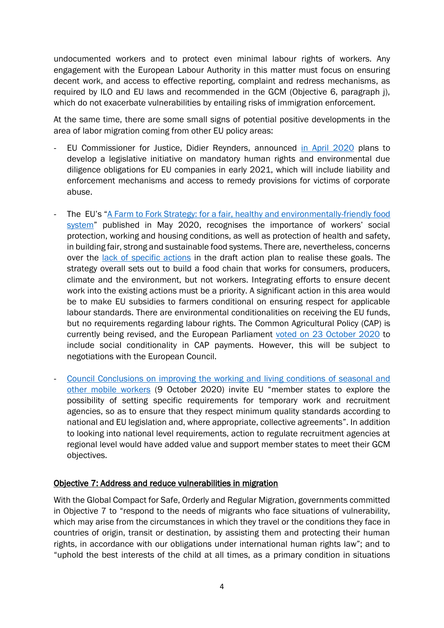undocumented workers and to protect even minimal labour rights of workers. Any engagement with the European Labour Authority in this matter must focus on ensuring decent work, and access to effective reporting, complaint and redress mechanisms, as required by ILO and EU laws and recommended in the GCM (Objective 6, paragraph j), which do not exacerbate vulnerabilities by entailing risks of immigration enforcement.

At the same time, there are some small signs of potential positive developments in the area of labor migration coming from other EU policy areas:

- EU Commissioner for Justice, Didier Reynders, announced [in April 2020](https://corporatejustice.org/news/16806-commissioner-reynders-announces-eu-corporate-due-diligence-legislation) plans to develop a legislative initiative on mandatory human rights and environmental due diligence obligations for EU companies in early 2021, which will include liability and enforcement mechanisms and access to remedy provisions for victims of corporate abuse.
- The EU's "A Farm to Fork Strategy: for a fair, healthy and environmentally-friendly food [system](https://eur-lex.europa.eu/resource.html?uri=cellar:ea0f9f73-9ab2-11ea-9d2d-01aa75ed71a1.0001.02/DOC_1&format=PDF)" published in May 2020, recognises the importance of workers' social protection, working and housing conditions, as well as protection of health and safety, in building fair, strong and sustainable food systems. There are, nevertheless, concerns over the [lack of specific actions](https://effat.org/in-the-spotlight/farm-to-fork-first-thoughts-some-promising-elements-but-lacks-effective-actions-to-deliver-social-goals/) in the draft action plan to realise these goals. The strategy overall sets out to build a food chain that works for consumers, producers, climate and the environment, but not workers. Integrating efforts to ensure decent work into the existing actions must be a priority. A significant action in this area would be to make EU subsidies to farmers conditional on ensuring respect for applicable labour standards. There are environmental conditionalities on receiving the EU funds, but no requirements regarding labour rights. The Common Agricultural Policy (CAP) is currently being revised, and the European Parliament voted on 23 [October 2020](https://effat.org/in-the-spotlight/futureofcap-ep-plenary-delivers-a-first-important-win-for-workers-rights/) to include social conditionality in CAP payments. However, this will be subject to negotiations with the European Council.
- Council Conclusions on improving the working and living conditions of seasonal and [other mobile workers](https://eur02.safelinks.protection.outlook.com/?url=https%3A%2F%2Fwww.consilium.europa.eu%2Fen%2Fpress%2Fpress-releases%2F2020%2F10%2F12%2Fimproving-the-working-and-living-conditions-of-seasonal-and-other-mobile-workers-council-adopts-conclusions%2F&data=02%7C01%7Co.martens%40effat.org%7C6474200e3bc142b9c75b08d874064673%7C3f44ba0b8a1741469c8ded3e280a5848%7C0%7C0%7C637386917582206959&sdata=Vdr0J%2BxSTAr46lZrbit7v17TGeGzcXhTXtp5divSWYQ%3D&reserved=0) (9 October 2020) invite EU "member states to explore the possibility of setting specific requirements for temporary work and recruitment agencies, so as to ensure that they respect minimum quality standards according to national and EU legislation and, where appropriate, collective agreements". In addition to looking into national level requirements, action to regulate recruitment agencies at regional level would have added value and support member states to meet their GCM objectives.

#### Objective 7: Address and reduce vulnerabilities in migration

With the Global Compact for Safe, Orderly and Regular Migration, governments committed in Objective 7 to "respond to the needs of migrants who face situations of vulnerability, which may arise from the circumstances in which they travel or the conditions they face in countries of origin, transit or destination, by assisting them and protecting their human rights, in accordance with our obligations under international human rights law"; and to "uphold the best interests of the child at all times, as a primary condition in situations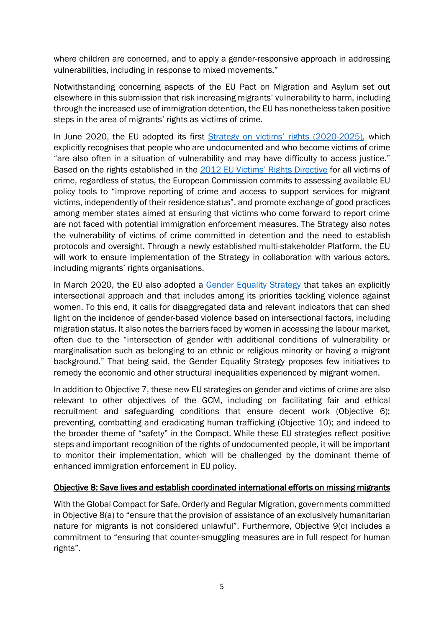where children are concerned, and to apply a gender-responsive approach in addressing vulnerabilities, including in response to mixed movements."

Notwithstanding concerning aspects of the EU Pact on Migration and Asylum set out elsewhere in this submission that risk increasing migrants' vulnerability to harm, including through the increased use of immigration detention, the EU has nonetheless taken positive steps in the area of migrants' rights as victims of crime.

In June 2020, the EU adopted its first [Strategy on victims' rights \(2020](https://ec.europa.eu/info/sites/info/files/law/2_en_act_part1_v10.pdf)-2025), which explicitly recognises that people who are undocumented and who become victims of crime "are also often in a situation of vulnerability and may have difficulty to access justice." Based on the rights established in the 2012 [EU Victims' Rights Directive](https://eur-lex.europa.eu/legal-content/en/TXT/?uri=CELEX%3A32012L0029) for all victims of crime, regardless of status, the European Commission commits to assessing available EU policy tools to "improve reporting of crime and access to support services for migrant victims, independently of their residence status", and promote exchange of good practices among member states aimed at ensuring that victims who come forward to report crime are not faced with potential immigration enforcement measures. The Strategy also notes the vulnerability of victims of crime committed in detention and the need to establish protocols and oversight. Through a newly established multi-stakeholder Platform, the EU will work to ensure implementation of the Strategy in collaboration with various actors, including migrants' rights organisations.

In March 2020, the EU also adopted a [Gender Equality Strategy](https://eur-lex.europa.eu/legal-content/EN/TXT/?uri=CELEX%3A52020DC0152) that takes an explicitly intersectional approach and that includes among its priorities tackling violence against women. To this end, it calls for disaggregated data and relevant indicators that can shed light on the incidence of gender-based violence based on intersectional factors, including migration status. It also notes the barriers faced by women in accessing the labour market, often due to the "intersection of gender with additional conditions of vulnerability or marginalisation such as belonging to an ethnic or religious minority or having a migrant background." That being said, the Gender Equality Strategy proposes few initiatives to remedy the economic and other structural inequalities experienced by migrant women.

In addition to Objective 7, these new EU strategies on gender and victims of crime are also relevant to other objectives of the GCM, including on facilitating fair and ethical recruitment and safeguarding conditions that ensure decent work (Objective 6); preventing, combatting and eradicating human trafficking (Objective 10); and indeed to the broader theme of "safety" in the Compact. While these EU strategies reflect positive steps and important recognition of the rights of undocumented people, it will be important to monitor their implementation, which will be challenged by the dominant theme of enhanced immigration enforcement in EU policy.

#### Objective 8: Save lives and establish coordinated international efforts on missing migrants

With the Global Compact for Safe, Orderly and Regular Migration, governments committed in Objective 8(a) to "ensure that the provision of assistance of an exclusively humanitarian nature for migrants is not considered unlawful". Furthermore, Objective 9(c) includes a commitment to "ensuring that counter-smuggling measures are in full respect for human rights".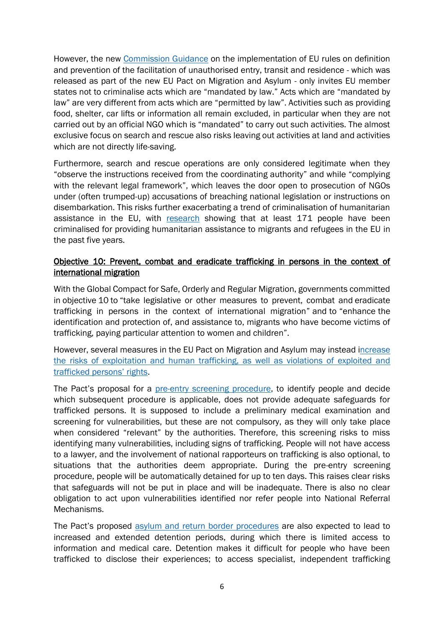However, the new [Commission Guidance](https://ec.europa.eu/info/sites/info/files/commission-guidance-implementation-facilitation-unauthorised-entry_en.pdf) on the implementation of EU rules on definition and prevention of the facilitation of unauthorised entry, transit and residence - which was released as part of the new EU Pact on Migration and Asylum - only invites EU member states not to criminalise acts which are "mandated by law." Acts which are "mandated by law" are very different from acts which are "permitted by law". Activities such as providing food, shelter, car lifts or information all remain excluded, in particular when they are not carried out by an official NGO which is "mandated" to carry out such activities. The almost exclusive focus on search and rescue also risks leaving out activities at land and activities which are not directly life-saving.

Furthermore, search and rescue operations are only considered legitimate when they "observe the instructions received from the coordinating authority" and while "complying with the relevant legal framework", which leaves the door open to prosecution of NGOs under (often trumped-up) accusations of breaching national legislation or instructions on disembarkation. This risks further exacerbating a trend of criminalisation of humanitarian assistance in the EU, with [research](http://www.resoma.eu/sites/resoma/resoma/files/policy_brief/pdf/Final%20Synthetic%20Report%20-%20Crackdown%20on%20NGOs%20and%20volunteers%20helping%20refugees%20and%20other%20migrants_1.pdf) showing that at least 171 people have been criminalised for providing humanitarian assistance to migrants and refugees in the EU in the past five years.

#### Objective 10: Prevent, combat and eradicate trafficking in persons in the context of international migration

With the Global Compact for Safe, Orderly and Regular Migration, governments committed in objective 10 to "take legislative or other measures to prevent, combat and eradicate trafficking in persons in the context of international migration" and to "enhance the identification and protection of, and assistance to, migrants who have become victims of trafficking, paying particular attention to women and children".

However, several measures in the EU Pact on Migration and Asylum may instead increase [the risks of exploitation and human trafficking, as well as violations of exploited and](https://mcusercontent.com/68f02e29844b94aad760e929d/files/64382fa8-b5d9-4b90-9cb9-c07ac6c84cb8/La_Strada_International_statement_EU_Anti_Trafficking_Day_18_October_2020.01.pdf)  [trafficked persons' rights](https://mcusercontent.com/68f02e29844b94aad760e929d/files/64382fa8-b5d9-4b90-9cb9-c07ac6c84cb8/La_Strada_International_statement_EU_Anti_Trafficking_Day_18_October_2020.01.pdf).

The Pact's proposal for a [pre-entry screening procedure,](https://eur-lex.europa.eu/legal-content/EN/TXT/?qid=1601291190831&uri=COM%3A2020%3A612%3AFIN) to identify people and decide which subsequent procedure is applicable, does not provide adequate safeguards for trafficked persons. It is supposed to include a preliminary medical examination and screening for vulnerabilities, but these are not compulsory, as they will only take place when considered "relevant" by the authorities. Therefore, this screening risks to miss identifying many vulnerabilities, including signs of trafficking. People will not have access to a lawyer, and the involvement of national rapporteurs on trafficking is also optional, to situations that the authorities deem appropriate. During the pre-entry screening procedure, people will be automatically detained for up to ten days. This raises clear risks that safeguards will not be put in place and will be inadequate. There is also no clear obligation to act upon vulnerabilities identified nor refer people into National Referral Mechanisms.

The Pact's proposed [asylum and return border procedures](https://eur-lex.europa.eu/legal-content/EN/TXT/?qid=1601291268538&uri=COM%3A2020%3A611%3AFIN) are also expected to lead to increased and extended detention periods, during which there is limited access to information and medical care. Detention makes it difficult for people who have been trafficked to disclose their experiences; to access specialist, independent trafficking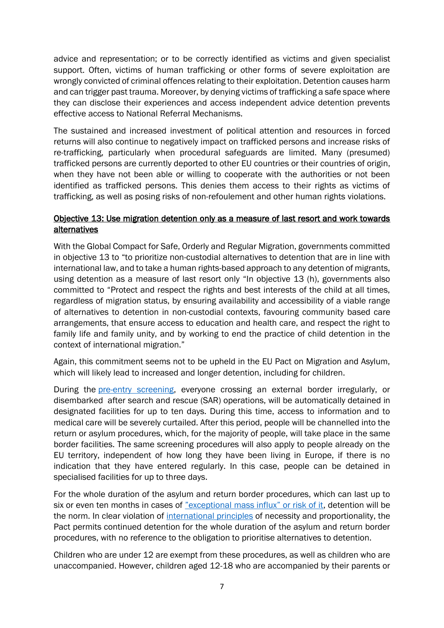advice and representation; or to be correctly identified as victims and given specialist support. Often, victims of human trafficking or other forms of severe exploitation are wrongly convicted of criminal offences relating to their exploitation. Detention causes harm and can trigger past trauma. Moreover, by denying victims of trafficking a safe space where they can disclose their experiences and access independent advice detention prevents effective access to National Referral Mechanisms.

The sustained and increased investment of political attention and resources in forced returns will also continue to negatively impact on trafficked persons and increase risks of re-trafficking, particularly when procedural safeguards are limited. Many (presumed) trafficked persons are currently deported to other EU countries or their countries of origin, when they have not been able or willing to cooperate with the authorities or not been identified as trafficked persons. This denies them access to their rights as victims of trafficking, as well as posing risks of non-refoulement and other human rights violations.

#### Objective 13: Use migration detention only as a measure of last resort and work towards alternatives

With the Global Compact for Safe, Orderly and Regular Migration, governments committed in objective 13 to "to prioritize non-custodial alternatives to detention that are in line with international law, and to take a human rights-based approach to any detention of migrants, using detention as a measure of last resort only "In objective 13 (h), governments also committed to "Protect and respect the rights and best interests of the child at all times, regardless of migration status, by ensuring availability and accessibility of a viable range of alternatives to detention in non-custodial contexts, favouring community based care arrangements, that ensure access to education and health care, and respect the right to family life and family unity, and by working to end the practice of child detention in the context of international migration."

Again, this commitment seems not to be upheld in the EU Pact on Migration and Asylum, which will likely lead to increased and longer detention, including for children.

During the **pre-entry screening**, everyone crossing an external border irregularly, or disembarked after search and rescue (SAR) operations, will be automatically detained in designated facilities for up to ten days. During this time, access to information and to medical care will be severely curtailed. After this period, people will be channelled into the return or asylum procedures, which, for the majority of people, will take place in the same border facilities. The same screening procedures will also apply to people already on the EU territory, independent of how long they have been living in Europe, if there is no indication that they have entered regularly. In this case, people can be detained in specialised facilities for up to three days.

For the whole duration of the asylum and return border procedures, which can last up to six or even ten months in cases of ["exceptional mass influx" or risk of it](https://eur-lex.europa.eu/legal-content/EN/TXT/?qid=1601295614020&uri=COM%3A2020%3A613%3AFIN), detention will be the norm. In clear violation of [international principles](https://www.refworld.org/docid/5a903b514.html) of necessity and proportionality, the Pact permits continued detention for the whole duration of the asylum and return border procedures, with no reference to the obligation to prioritise alternatives to detention.

Children who are under 12 are exempt from these procedures, as well as children who are unaccompanied. However, children aged 12-18 who are accompanied by their parents or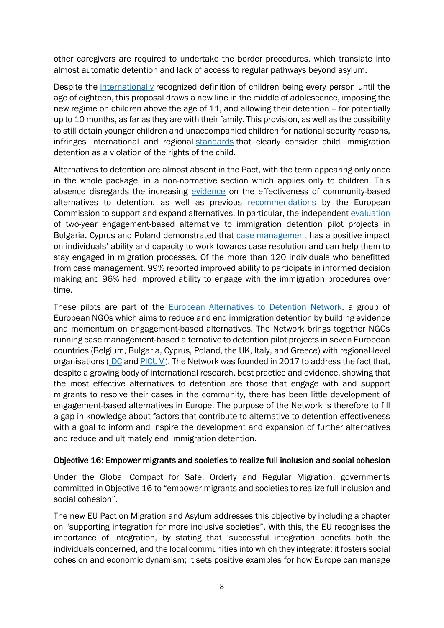other caregivers are required to undertake the border procedures, which translate into almost automatic detention and lack of access to regular pathways beyond asylum.

Despite the [internationally](https://www.ohchr.org/en/professionalinterest/pages/crc.aspx) recognized definition of children being every person until the age of eighteen, this proposal draws a new line in the middle of adolescence, imposing the new regime on children above the age of 11, and allowing their detention – for potentially up to 10 months, as far as they are with their family. This provision, as well as the possibility to still detain younger children and unaccompanied children for national security reasons, infringes international and regional [standards](https://www.refworld.org/docid/5a12942a2b.html) that clearly consider child immigration detention as a violation of the rights of the child.

Alternatives to detention are almost absent in the Pact, with the term appearing only once in the whole package, in a non-normative section which applies only to children. This absence disregards the increasing [evidence](https://www.epim.info/new-evaluation-report-of-epim-atd-pilot-projects-out-now/) on the effectiveness of community-based alternatives to detention, as well as previous [recommendations](https://ec.europa.eu/home-affairs/sites/homeaffairs/files/what-we-do/policies/european-agenda-migration/proposal-implementation-package/docs/return_handbook_en.pdf) by the European Commission to support and expand alternatives. In particular, the independent [evaluation](https://www.epim.info/new-evaluation-report-of-epim-atd-pilot-projects-out-now/) of two-year engagement-based alternative to immigration detention pilot projects in Bulgaria, Cyprus and Poland demonstrated that [case management](https://picum.org/wp-content/uploads/2020/04/Concept-Paper-on-Case-Management_EN.pdf?fbclid=IwAR3srJIswYuFXbGiw_m9pd9feCoA0sBzAbJuRJ7S84LuKQTHlWhMPIlfsW4) has a positive impact on individuals' ability and capacity to work towards case resolution and can help them to stay engaged in migration processes. Of the more than 120 individuals who benefitted from case management, 99% reported improved ability to participate in informed decision making and 96% had improved ability to engage with the immigration procedures over time.

These pilots are part of the [European Alternatives to Detention Network,](https://www.atdnetwork.org/) a group of European NGOs which aims to reduce and end immigration detention by building evidence and momentum on engagement-based alternatives. The Network brings together NGOs running case management-based alternative to detention pilot projects in seven European countries (Belgium, Bulgaria, Cyprus, Poland, the UK, Italy, and Greece) with regional-level organisations [\(IDC](https://idcoalition.org/) and [PICUM\)](http://picum.org/). The Network was founded in 2017 to address the fact that, despite a growing body of international research, best practice and evidence, showing that the most effective alternatives to detention are those that engage with and support migrants to resolve their cases in the community, there has been little development of engagement-based alternatives in Europe. The purpose of the Network is therefore to fill a gap in knowledge about factors that contribute to alternative to detention effectiveness with a goal to inform and inspire the development and expansion of further alternatives and reduce and ultimately end immigration detention.

#### Objective 16: Empower migrants and societies to realize full inclusion and social cohesion

Under the Global Compact for Safe, Orderly and Regular Migration, governments committed in Objective 16 to "empower migrants and societies to realize full inclusion and social cohesion".

The new EU Pact on Migration and Asylum addresses this objective by including a chapter on "supporting integration for more inclusive societies". With this, the EU recognises the importance of integration, by stating that 'successful integration benefits both the individuals concerned, and the local communities into which they integrate; it fosters social cohesion and economic dynamism; it sets positive examples for how Europe can manage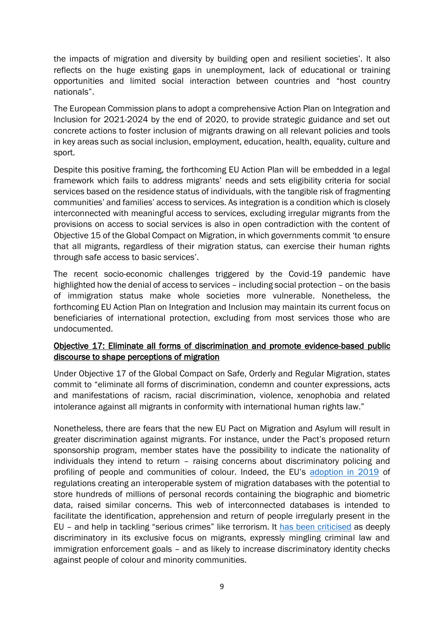the impacts of migration and diversity by building open and resilient societies'. It also reflects on the huge existing gaps in unemployment, lack of educational or training opportunities and limited social interaction between countries and "host country nationals".

The European Commission plans to adopt a comprehensive Action Plan on Integration and Inclusion for 2021-2024 by the end of 2020, to provide strategic guidance and set out concrete actions to foster inclusion of migrants drawing on all relevant policies and tools in key areas such as social inclusion, employment, education, health, equality, culture and sport.

Despite this positive framing, the forthcoming EU Action Plan will be embedded in a legal framework which fails to address migrants' needs and sets eligibility criteria for social services based on the residence status of individuals, with the tangible risk of fragmenting communities' and families' access to services. As integration is a condition which is closely interconnected with meaningful access to services, excluding irregular migrants from the provisions on access to social services is also in open contradiction with the content of Objective 15 of the Global Compact on Migration, in which governments commit 'to ensure that all migrants, regardless of their migration status, can exercise their human rights through safe access to basic services'.

The recent socio-economic challenges triggered by the Covid-19 pandemic have highlighted how the denial of access to services – including social protection – on the basis of immigration status make whole societies more vulnerable. Nonetheless, the forthcoming EU Action Plan on Integration and Inclusion may maintain its current focus on beneficiaries of international protection, excluding from most services those who are undocumented.

#### Objective 17: Eliminate all forms of discrimination and promote evidence-based public discourse to shape perceptions of migration

Under Objective 17 of the Global Compact on Safe, Orderly and Regular Migration, states commit to "eliminate all forms of discrimination, condemn and counter expressions, acts and manifestations of racism, racial discrimination, violence, xenophobia and related intolerance against all migrants in conformity with international human rights law."

Nonetheless, there are fears that the new EU Pact on Migration and Asylum will result in greater discrimination against migrants. For instance, under the Pact's proposed return sponsorship program, member states have the possibility to indicate the nationality of individuals they intend to return – raising concerns about discriminatory policing and profiling of people and communities of colour. Indeed, the EU's [adoption in 2019](https://www.consilium.europa.eu/en/press/press-releases/2019/05/14/interoperability-between-eu-information-systems-council-adopts-regulations/) of regulations creating an interoperable system of migration databases with the potential to store hundreds of millions of personal records containing the biographic and biometric data, raised similar concerns. This web of interconnected databases is intended to facilitate the identification, apprehension and return of people irregularly present in the EU – and help in tackling "serious crimes" like terrorism. It [has been criticised](https://picum.org/wp-content/uploads/2019/11/Data-Protection-Immigration-Enforcement-and-Fundamental-Rights-Full-Report-EN.pdf) as deeply discriminatory in its exclusive focus on migrants, expressly mingling criminal law and immigration enforcement goals – and as likely to increase discriminatory identity checks against people of colour and minority communities.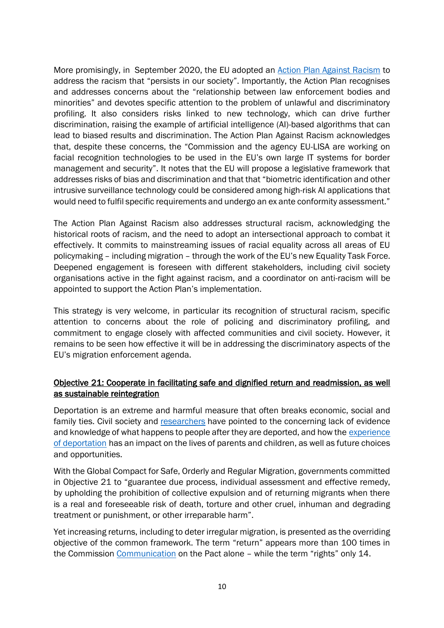More promisingly, in September 2020, the EU adopted an [Action Plan Against Racism](https://ec.europa.eu/info/sites/info/files/a_union_of_equality_eu_action_plan_against_racism_2020_-2025_en.pdf) to address the racism that "persists in our society". Importantly, the Action Plan recognises and addresses concerns about the "relationship between law enforcement bodies and minorities" and devotes specific attention to the problem of unlawful and discriminatory profiling. It also considers risks linked to new technology, which can drive further discrimination, raising the example of artificial intelligence (AI)-based algorithms that can lead to biased results and discrimination. The Action Plan Against Racism acknowledges that, despite these concerns, the "Commission and the agency EU-LISA are working on facial recognition technologies to be used in the EU's own large IT systems for border management and security". It notes that the EU will propose a legislative framework that addresses risks of bias and discrimination and that that "biometric identification and other intrusive surveillance technology could be considered among high-risk AI applications that would need to fulfil specific requirements and undergo an ex ante conformity assessment."

The Action Plan Against Racism also addresses structural racism, acknowledging the historical roots of racism, and the need to adopt an intersectional approach to combat it effectively. It commits to mainstreaming issues of racial equality across all areas of EU policymaking – including migration – through the work of the EU's new Equality Task Force. Deepened engagement is foreseen with different stakeholders, including civil society organisations active in the fight against racism, and a coordinator on anti-racism will be appointed to support the Action Plan's implementation.

This strategy is very welcome, in particular its recognition of structural racism, specific attention to concerns about the role of policing and discriminatory profiling, and commitment to engage closely with affected communities and civil society. However, it remains to be seen how effective it will be in addressing the discriminatory aspects of the EU's migration enforcement agenda.

#### Objective 21: Cooperate in facilitating safe and dignified return and readmission, as well as sustainable reintegration

Deportation is an extreme and harmful measure that often breaks economic, social and family ties. Civil society and [researchers](https://pure.diis.dk/ws/files/677576/Post_Deportation_Risks_WEB.pdf) have pointed to the concerning lack of evidence and knowledge of what happens to people after they are deported, and how the experience [of deportation](https://picum.org/wp-content/uploads/2020/09/Removed-stories.pdf) has an impact on the lives of parents and children, as well as future choices and opportunities.

With the Global Compact for Safe, Orderly and Regular Migration, governments committed in Objective 21 to "guarantee due process, individual assessment and effective remedy, by upholding the prohibition of collective expulsion and of returning migrants when there is a real and foreseeable risk of death, torture and other cruel, inhuman and degrading treatment or punishment, or other irreparable harm".

Yet increasing returns, including to deter irregular migration, is presented as the overriding objective of the common framework. The term "return" appears more than 100 times in the Commission [Communication](https://eur-lex.europa.eu/legal-content/EN/TXT/?qid=1601287338054&uri=COM%3A2020%3A609%3AFIN) on the Pact alone – while the term "rights" only 14.